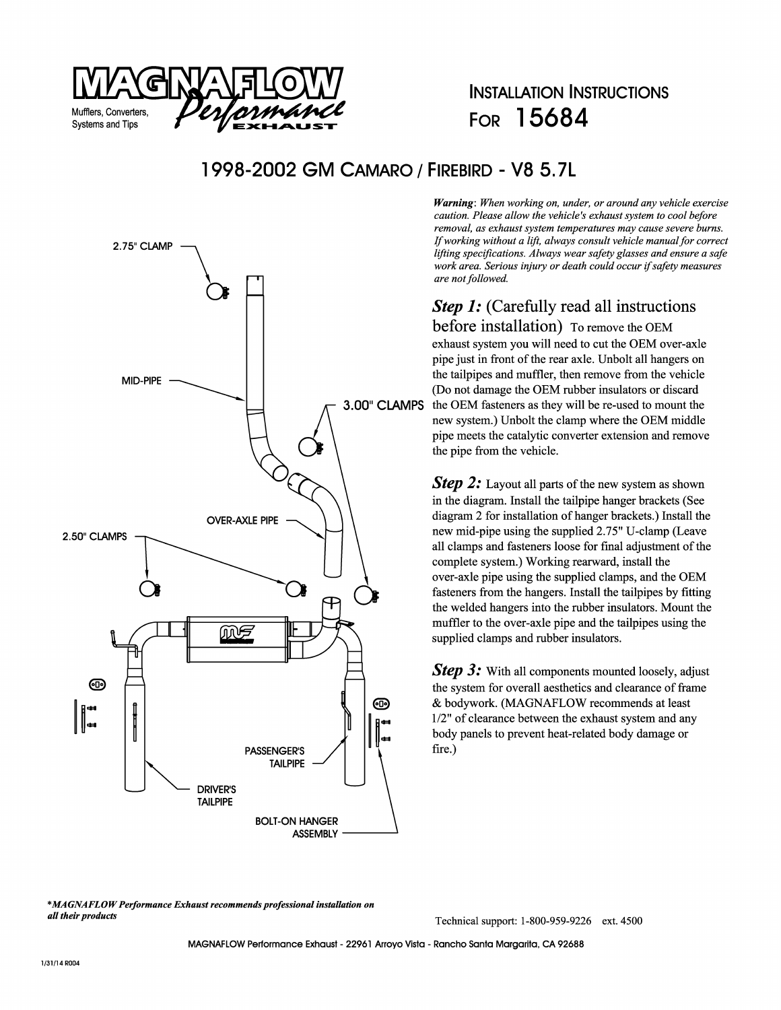

## **INSTALLATION INSTRUCTIONS FOR 15684**

#### **1998-2002 GM CAMARO / FIREBIRD - V8 5. 7L**



*Warning: When working on, under, or around any vehicle exercise caution. Please allow the vehicle's exhaust system to cool before removal, as exhaust system temperatures may cause severe burns. If working without a lift, always consult vehicle manual for correct lifting specifications. Always wear safety glasses and ensure a safe work area. Serious injury or death could occur* if *safety measures are not followed.* 

# *Step 1:* (Carefully read all instructions

before installation) To remove the OEM exhaust system you will need to cut the OEM over-axle pipe just in front of the rear axle. Unbolt all hangers on the tailpipes and muffler, then remove from the vehicle **3.00" CLAMPS** the OEM fasteners as they will be re-used to mount the new system.) Unbolt the clamp where the OEM middle pipe meets the catalytic converter extension and remove the pipe from the vehicle.

> **Step 2:** Layout all parts of the new system as shown in the diagram. Install the tailpipe hanger brackets (See diagram 2 for installation of hanger brackets.) Install the new mid-pipe using the supplied 2.75" U-clamp (Leave all clamps and fasteners loose for final adjustment of the complete system.) Working rearward, install the over-axle pipe using the supplied clamps, and the OEM fasteners from the hangers. Install the tailpipes by fitting the welded hangers into the rubber insulators. Mount the muffler to the over-axle pipe and the tailpipes using the supplied clamps and rubber insulators.

> *Step 3:* With all components mounted loosely, adjust the system for overall aesthetics and clearance of frame & bodywork. (MAGNAFLOW recommends at least 1/2" of clearance between the exhaust system and any body panels to prevent heat-related body damage or fire.)

*\*MAGNAFLOW Performance Exhaust recommends professional installation on*  **all** *their products* 

Technical support: 1-800-959-9226 ext. 4500